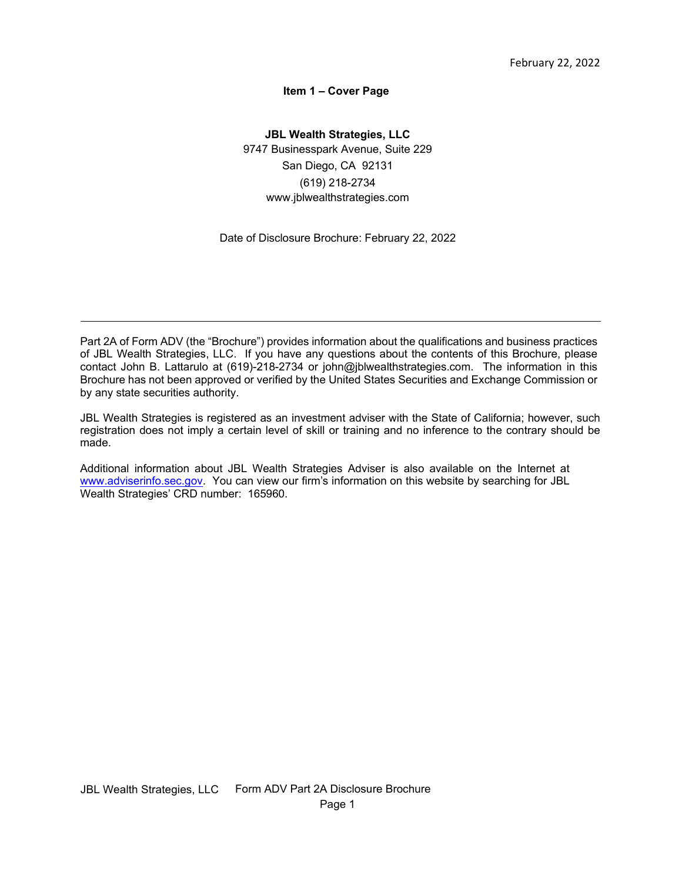## **Item 1 – Cover Page**

<span id="page-0-0"></span>**JBL Wealth Strategies, LLC** 9747 Businesspark Avenue, Suite 229 San Diego, CA 92131 (619) 218-2734 [www.jblwealthstrategies.com](http://www.jblwealthstrategies.com/)

Date of Disclosure Brochure: February 22, 2022

Part 2A of Form ADV (the "Brochure") provides information about the qualifications and business practices of JBL Wealth Strategies, LLC. If you have any questions about the contents of this Brochure, please contact John B. Lattarulo at (619)-218-2734 or [john@jblwealthstrategies.com.](mailto:john@jblwealthstrategies.com) The information in this Brochure has not been approved or verified by the United States Securities and Exchange Commission or by any state securities authority.

JBL Wealth Strategies is registered as an investment adviser with the State of California; however, such registration does not imply a certain level of skill or training and no inference to the contrary should be made.

Additional information about JBL Wealth Strategies Adviser is also available on the Internet at [www.adviserinfo.sec.gov.](http://www.adviserinfo.sec.gov/) You can view our firm's information on this website by searching for JBL Wealth Strategies' CRD number: 165960.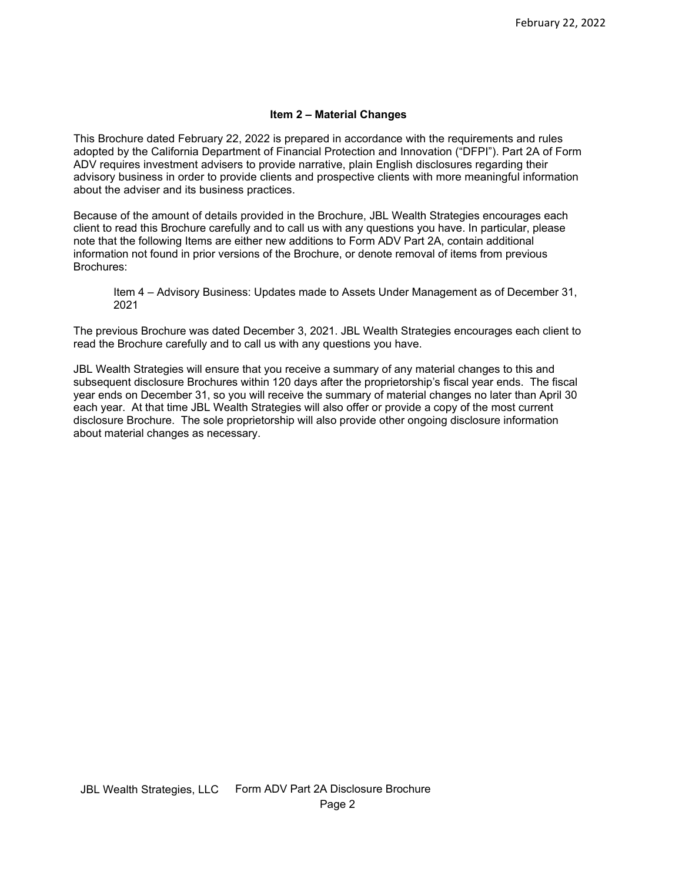#### **Item 2 – Material Changes**

<span id="page-1-0"></span>This Brochure dated February 22, 2022 is prepared in accordance with the requirements and rules adopted by the California Department of Financial Protection and Innovation ("DFPI"). Part 2A of Form ADV requires investment advisers to provide narrative, plain English disclosures regarding their advisory business in order to provide clients and prospective clients with more meaningful information about the adviser and its business practices.

Because of the amount of details provided in the Brochure, JBL Wealth Strategies encourages each client to read this Brochure carefully and to call us with any questions you have. In particular, please note that the following Items are either new additions to Form ADV Part 2A, contain additional information not found in prior versions of the Brochure, or denote removal of items from previous Brochures:

Item 4 – Advisory Business: Updates made to Assets Under Management as of December 31, 2021

The previous Brochure was dated December 3, 2021. JBL Wealth Strategies encourages each client to read the Brochure carefully and to call us with any questions you have.

JBL Wealth Strategies will ensure that you receive a summary of any material changes to this and subsequent disclosure Brochures within 120 days after the proprietorship's fiscal year ends. The fiscal year ends on December 31, so you will receive the summary of material changes no later than April 30 each year. At that time JBL Wealth Strategies will also offer or provide a copy of the most current disclosure Brochure. The sole proprietorship will also provide other ongoing disclosure information about material changes as necessary.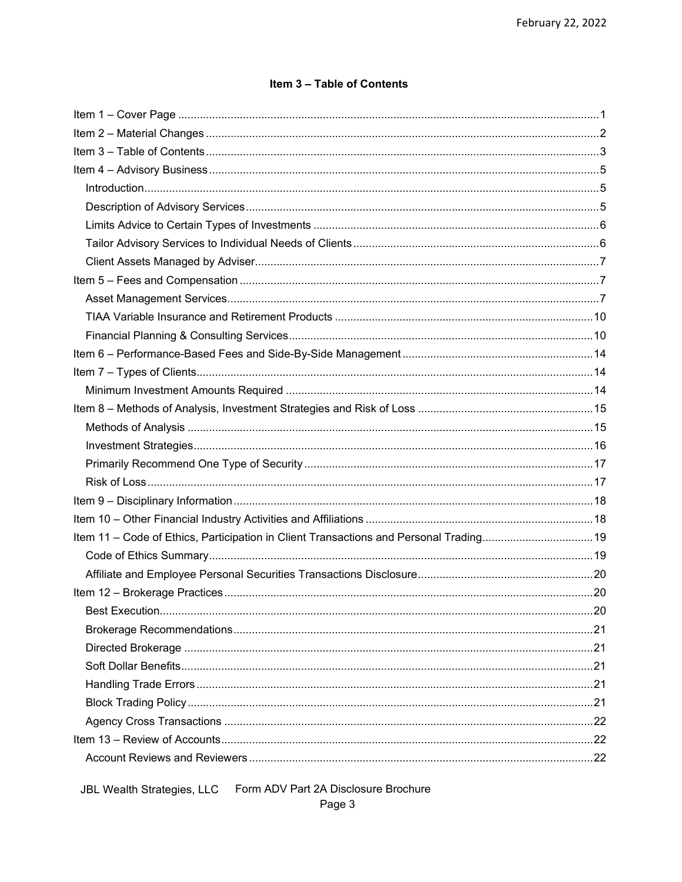# Item 3 - Table of Contents

<span id="page-2-0"></span>

| Item 11 - Code of Ethics, Participation in Client Transactions and Personal Trading19 |    |
|---------------------------------------------------------------------------------------|----|
|                                                                                       |    |
|                                                                                       |    |
|                                                                                       |    |
|                                                                                       | 20 |
|                                                                                       |    |
|                                                                                       |    |
|                                                                                       |    |
|                                                                                       |    |
|                                                                                       |    |
|                                                                                       |    |
|                                                                                       |    |
|                                                                                       |    |
|                                                                                       |    |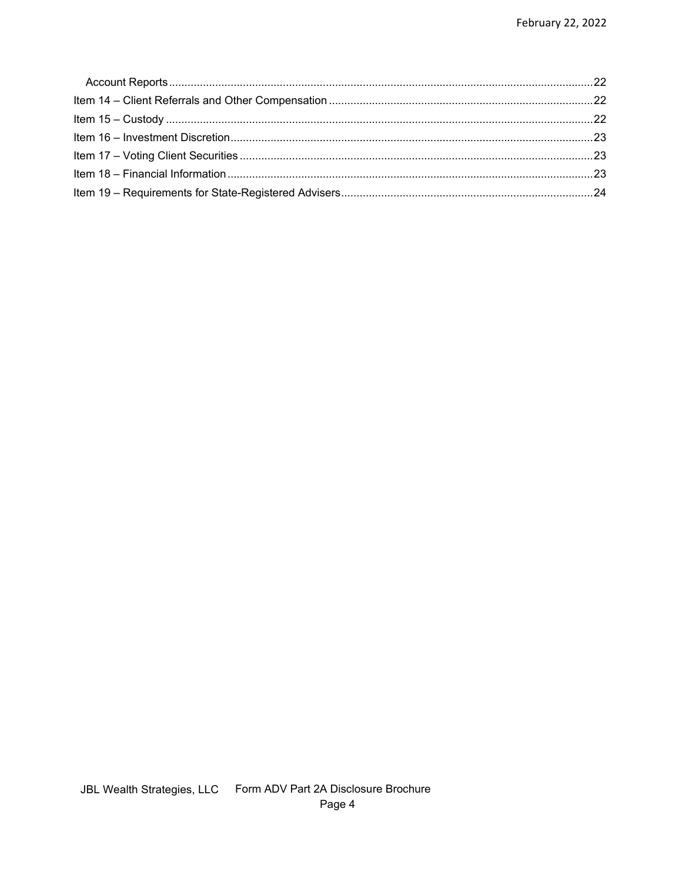<span id="page-3-0"></span>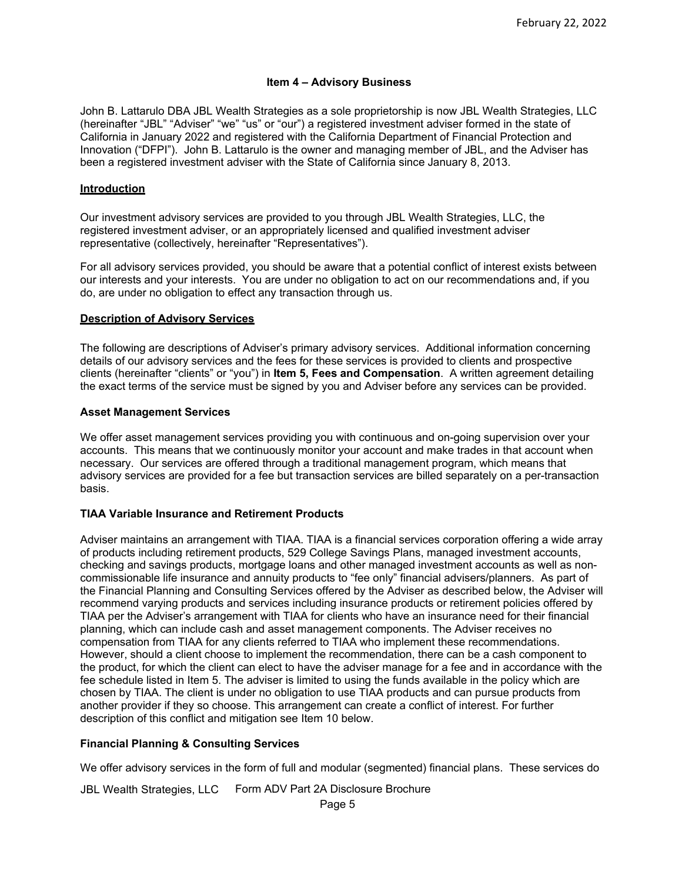## **Item 4 – Advisory Business**

John B. Lattarulo DBA JBL Wealth Strategies as a sole proprietorship is now JBL Wealth Strategies, LLC (hereinafter "JBL" "Adviser" "we" "us" or "our") a registered investment adviser formed in the state of California in January 2022 and registered with the California Department of Financial Protection and Innovation ("DFPI"). John B. Lattarulo is the owner and managing member of JBL, and the Adviser has been a registered investment adviser with the State of California since January 8, 2013.

#### <span id="page-4-0"></span>**Introduction**

Our investment advisory services are provided to you through JBL Wealth Strategies, LLC, the registered investment adviser, or an appropriately licensed and qualified investment adviser representative (collectively, hereinafter "Representatives").

For all advisory services provided, you should be aware that a potential conflict of interest exists between our interests and your interests. You are under no obligation to act on our recommendations and, if you do, are under no obligation to effect any transaction through us.

#### <span id="page-4-1"></span>**Description of Advisory Services**

The following are descriptions of Adviser's primary advisory services. Additional information concerning details of our advisory services and the fees for these services is provided to clients and prospective clients (hereinafter "clients" or "you") in **Item 5, Fees and Compensation**. A written agreement detailing the exact terms of the service must be signed by you and Adviser before any services can be provided.

#### **Asset Management Services**

We offer asset management services providing you with continuous and on-going supervision over your accounts. This means that we continuously monitor your account and make trades in that account when necessary. Our services are offered through a traditional management program, which means that advisory services are provided for a fee but transaction services are billed separately on a per-transaction basis.

## **TIAA Variable Insurance and Retirement Products**

Adviser maintains an arrangement with TIAA. TIAA is a financial services corporation offering a wide array of products including retirement products, 529 College Savings Plans, managed investment accounts, checking and savings products, mortgage loans and other managed investment accounts as well as noncommissionable life insurance and annuity products to "fee only" financial advisers/planners. As part of the Financial Planning and Consulting Services offered by the Adviser as described below, the Adviser will recommend varying products and services including insurance products or retirement policies offered by TIAA per the Adviser's arrangement with TIAA for clients who have an insurance need for their financial planning, which can include cash and asset management components. The Adviser receives no compensation from TIAA for any clients referred to TIAA who implement these recommendations. However, should a client choose to implement the recommendation, there can be a cash component to the product, for which the client can elect to have the adviser manage for a fee and in accordance with the fee schedule listed in Item 5. The adviser is limited to using the funds available in the policy which are chosen by TIAA. The client is under no obligation to use TIAA products and can pursue products from another provider if they so choose. This arrangement can create a conflict of interest. For further description of this conflict and mitigation see Item 10 below.

## **Financial Planning & Consulting Services**

We offer advisory services in the form of full and modular (segmented) financial plans. These services do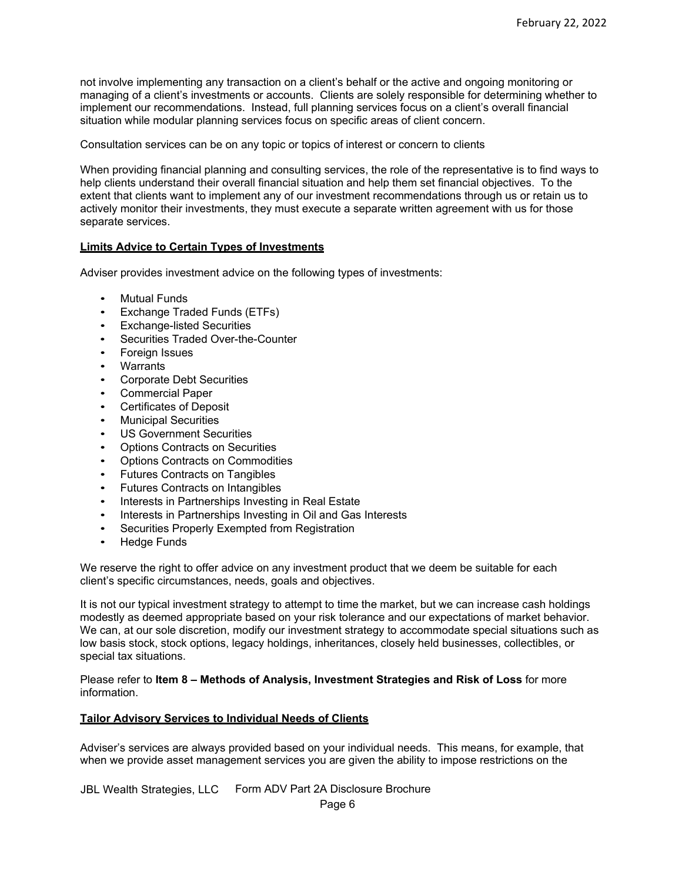not involve implementing any transaction on a client's behalf or the active and ongoing monitoring or managing of a client's investments or accounts. Clients are solely responsible for determining whether to implement our recommendations. Instead, full planning services focus on a client's overall financial situation while modular planning services focus on specific areas of client concern.

Consultation services can be on any topic or topics of interest or concern to clients

When providing financial planning and consulting services, the role of the representative is to find ways to help clients understand their overall financial situation and help them set financial objectives. To the extent that clients want to implement any of our investment recommendations through us or retain us to actively monitor their investments, they must execute a separate written agreement with us for those separate services.

#### <span id="page-5-0"></span>**Limits Advice to Certain Types of Investments**

Adviser provides investment advice on the following types of investments:

- Mutual Funds
- Exchange Traded Funds (ETFs)
- Exchange-listed Securities
- Securities Traded Over-the-Counter
- Foreign Issues
- Warrants
- Corporate Debt Securities
- Commercial Paper
- Certificates of Deposit
- Municipal Securities
- US Government Securities
- Options Contracts on Securities
- Options Contracts on Commodities
- Futures Contracts on Tangibles
- Futures Contracts on Intangibles
- Interests in Partnerships Investing in Real Estate
- Interests in Partnerships Investing in Oil and Gas Interests
- Securities Properly Exempted from Registration
- Hedge Funds

We reserve the right to offer advice on any investment product that we deem be suitable for each client's specific circumstances, needs, goals and objectives.

It is not our typical investment strategy to attempt to time the market, but we can increase cash holdings modestly as deemed appropriate based on your risk tolerance and our expectations of market behavior. We can, at our sole discretion, modify our investment strategy to accommodate special situations such as low basis stock, stock options, legacy holdings, inheritances, closely held businesses, collectibles, or special tax situations.

Please refer to **Item 8 – Methods of Analysis, Investment Strategies and Risk of Loss** for more information.

## <span id="page-5-1"></span>**Tailor Advisory Services to Individual Needs of Clients**

Adviser's services are always provided based on your individual needs. This means, for example, that when we provide asset management services you are given the ability to impose restrictions on the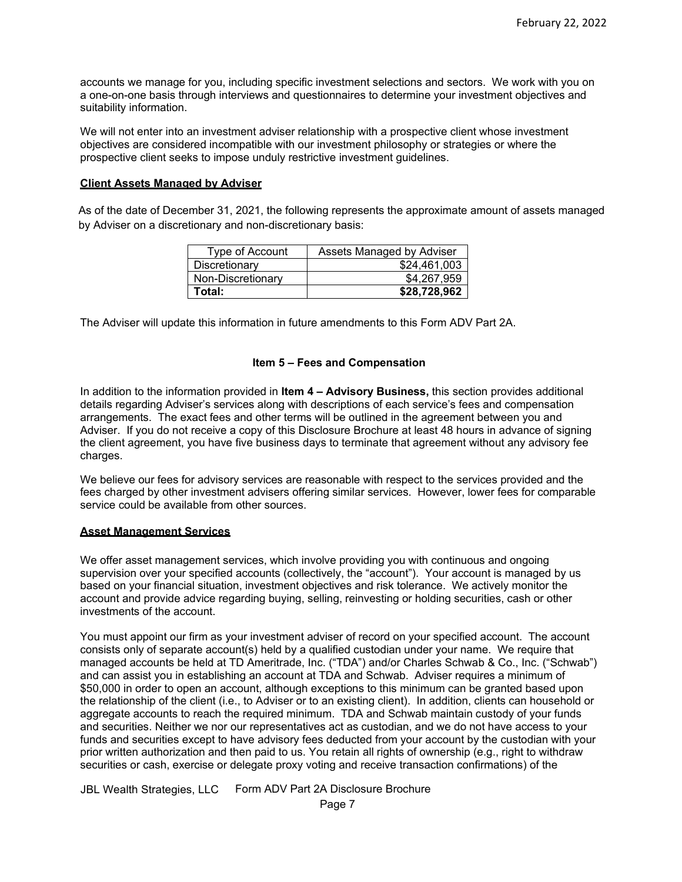accounts we manage for you, including specific investment selections and sectors. We work with you on a one-on-one basis through interviews and questionnaires to determine your investment objectives and suitability information.

We will not enter into an investment adviser relationship with a prospective client whose investment objectives are considered incompatible with our investment philosophy or strategies or where the prospective client seeks to impose unduly restrictive investment guidelines.

#### <span id="page-6-0"></span>**Client Assets Managed by Adviser**

As of the date of December 31, 2021, the following represents the approximate amount of assets managed by Adviser on a discretionary and non-discretionary basis:

| Type of Account   | Assets Managed by Adviser |
|-------------------|---------------------------|
| Discretionary     | \$24.461.003              |
| Non-Discretionary | \$4,267,959               |
| Total:            | \$28,728,962              |

The Adviser will update this information in future amendments to this Form ADV Part 2A.

#### **Item 5 – Fees and Compensation**

<span id="page-6-1"></span>In addition to the information provided in **Item 4 – Advisory Business,** this section provides additional details regarding Adviser's services along with descriptions of each service's fees and compensation arrangements. The exact fees and other terms will be outlined in the agreement between you and Adviser. If you do not receive a copy of this Disclosure Brochure at least 48 hours in advance of signing the client agreement, you have five business days to terminate that agreement without any advisory fee charges.

We believe our fees for advisory services are reasonable with respect to the services provided and the fees charged by other investment advisers offering similar services. However, lower fees for comparable service could be available from other sources.

#### <span id="page-6-2"></span>**Asset Management Services**

We offer asset management services, which involve providing you with continuous and ongoing supervision over your specified accounts (collectively, the "account"). Your account is managed by us based on your financial situation, investment objectives and risk tolerance. We actively monitor the account and provide advice regarding buying, selling, reinvesting or holding securities, cash or other investments of the account.

You must appoint our firm as your investment adviser of record on your specified account. The account consists only of separate account(s) held by a qualified custodian under your name. We require that managed accounts be held at TD Ameritrade, Inc. ("TDA") and/or Charles Schwab & Co., Inc. ("Schwab") and can assist you in establishing an account at TDA and Schwab. Adviser requires a minimum of \$50,000 in order to open an account, although exceptions to this minimum can be granted based upon the relationship of the client (i.e., to Adviser or to an existing client). In addition, clients can household or aggregate accounts to reach the required minimum. TDA and Schwab maintain custody of your funds and securities. Neither we nor our representatives act as custodian, and we do not have access to your funds and securities except to have advisory fees deducted from your account by the custodian with your prior written authorization and then paid to us. You retain all rights of ownership (e.g., right to withdraw securities or cash, exercise or delegate proxy voting and receive transaction confirmations) of the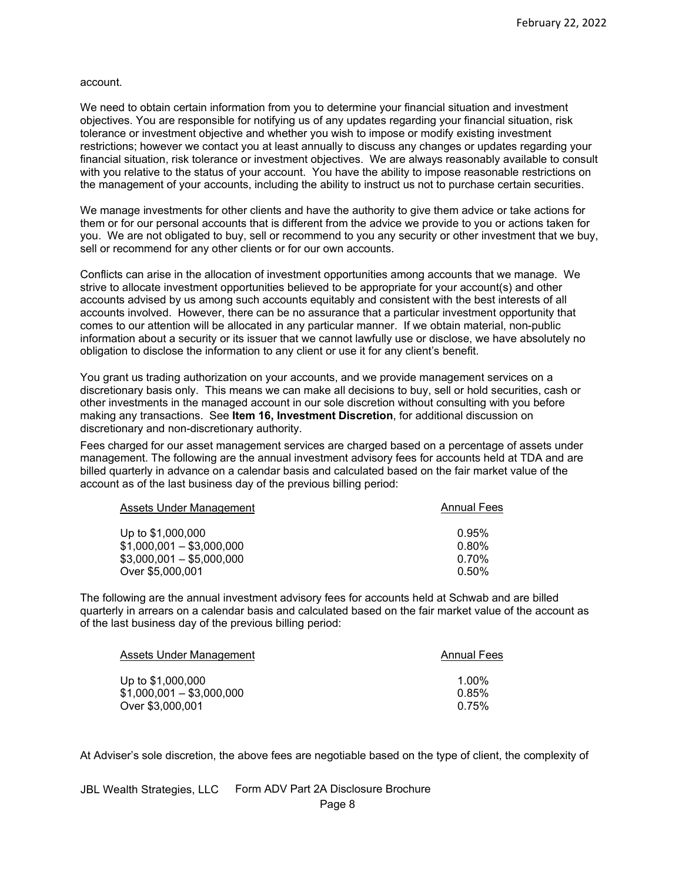#### account.

We need to obtain certain information from you to determine your financial situation and investment objectives. You are responsible for notifying us of any updates regarding your financial situation, risk tolerance or investment objective and whether you wish to impose or modify existing investment restrictions; however we contact you at least annually to discuss any changes or updates regarding your financial situation, risk tolerance or investment objectives. We are always reasonably available to consult with you relative to the status of your account. You have the ability to impose reasonable restrictions on the management of your accounts, including the ability to instruct us not to purchase certain securities.

We manage investments for other clients and have the authority to give them advice or take actions for them or for our personal accounts that is different from the advice we provide to you or actions taken for you. We are not obligated to buy, sell or recommend to you any security or other investment that we buy, sell or recommend for any other clients or for our own accounts.

Conflicts can arise in the allocation of investment opportunities among accounts that we manage. We strive to allocate investment opportunities believed to be appropriate for your account(s) and other accounts advised by us among such accounts equitably and consistent with the best interests of all accounts involved. However, there can be no assurance that a particular investment opportunity that comes to our attention will be allocated in any particular manner. If we obtain material, non-public information about a security or its issuer that we cannot lawfully use or disclose, we have absolutely no obligation to disclose the information to any client or use it for any client's benefit.

You grant us trading authorization on your accounts, and we provide management services on a discretionary basis only. This means we can make all decisions to buy, sell or hold securities, cash or other investments in the managed account in our sole discretion without consulting with you before making any transactions. See **Item 16, Investment Discretion**, for additional discussion on discretionary and non-discretionary authority.

Fees charged for our asset management services are charged based on a percentage of assets under management. The following are the annual investment advisory fees for accounts held at TDA and are billed quarterly in advance on a calendar basis and calculated based on the fair market value of the account as of the last business day of the previous billing period:

| Assets Under Management   | <b>Annual Fees</b> |
|---------------------------|--------------------|
| Up to \$1,000,000         | 0.95%              |
| $$1,000,001 - $3,000,000$ | $0.80\%$           |
| $$3,000,001 - $5,000,000$ | $0.70\%$           |
| Over \$5,000,001          | $0.50\%$           |
|                           |                    |

The following are the annual investment advisory fees for accounts held at Schwab and are billed quarterly in arrears on a calendar basis and calculated based on the fair market value of the account as of the last business day of the previous billing period:

| Assets Under Management   | <b>Annual Fees</b> |
|---------------------------|--------------------|
| Up to \$1,000,000         | $1.00\%$           |
| $$1,000,001 - $3,000,000$ | 0.85%              |
| Over \$3,000,001          | 0.75%              |

At Adviser's sole discretion, the above fees are negotiable based on the type of client, the complexity of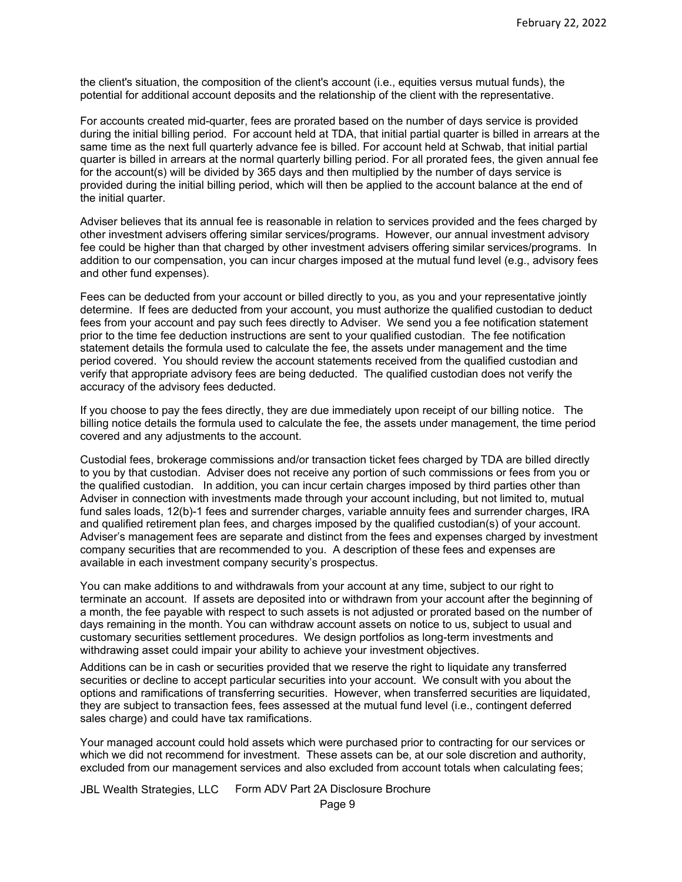the client's situation, the composition of the client's account (i.e., equities versus mutual funds), the potential for additional account deposits and the relationship of the client with the representative.

For accounts created mid-quarter, fees are prorated based on the number of days service is provided during the initial billing period. For account held at TDA, that initial partial quarter is billed in arrears at the same time as the next full quarterly advance fee is billed. For account held at Schwab, that initial partial quarter is billed in arrears at the normal quarterly billing period. For all prorated fees, the given annual fee for the account(s) will be divided by 365 days and then multiplied by the number of days service is provided during the initial billing period, which will then be applied to the account balance at the end of the initial quarter.

Adviser believes that its annual fee is reasonable in relation to services provided and the fees charged by other investment advisers offering similar services/programs. However, our annual investment advisory fee could be higher than that charged by other investment advisers offering similar services/programs. In addition to our compensation, you can incur charges imposed at the mutual fund level (e.g., advisory fees and other fund expenses).

Fees can be deducted from your account or billed directly to you, as you and your representative jointly determine. If fees are deducted from your account, you must authorize the qualified custodian to deduct fees from your account and pay such fees directly to Adviser. We send you a fee notification statement prior to the time fee deduction instructions are sent to your qualified custodian. The fee notification statement details the formula used to calculate the fee, the assets under management and the time period covered. You should review the account statements received from the qualified custodian and verify that appropriate advisory fees are being deducted. The qualified custodian does not verify the accuracy of the advisory fees deducted.

If you choose to pay the fees directly, they are due immediately upon receipt of our billing notice. The billing notice details the formula used to calculate the fee, the assets under management, the time period covered and any adjustments to the account.

Custodial fees, brokerage commissions and/or transaction ticket fees charged by TDA are billed directly to you by that custodian. Adviser does not receive any portion of such commissions or fees from you or the qualified custodian. In addition, you can incur certain charges imposed by third parties other than Adviser in connection with investments made through your account including, but not limited to, mutual fund sales loads, 12(b)-1 fees and surrender charges, variable annuity fees and surrender charges, IRA and qualified retirement plan fees, and charges imposed by the qualified custodian(s) of your account. Adviser's management fees are separate and distinct from the fees and expenses charged by investment company securities that are recommended to you. A description of these fees and expenses are available in each investment company security's prospectus.

You can make additions to and withdrawals from your account at any time, subject to our right to terminate an account. If assets are deposited into or withdrawn from your account after the beginning of a month, the fee payable with respect to such assets is not adjusted or prorated based on the number of days remaining in the month. You can withdraw account assets on notice to us, subject to usual and customary securities settlement procedures. We design portfolios as long-term investments and withdrawing asset could impair your ability to achieve your investment objectives.

Additions can be in cash or securities provided that we reserve the right to liquidate any transferred securities or decline to accept particular securities into your account. We consult with you about the options and ramifications of transferring securities. However, when transferred securities are liquidated, they are subject to transaction fees, fees assessed at the mutual fund level (i.e., contingent deferred sales charge) and could have tax ramifications.

Your managed account could hold assets which were purchased prior to contracting for our services or which we did not recommend for investment. These assets can be, at our sole discretion and authority, excluded from our management services and also excluded from account totals when calculating fees;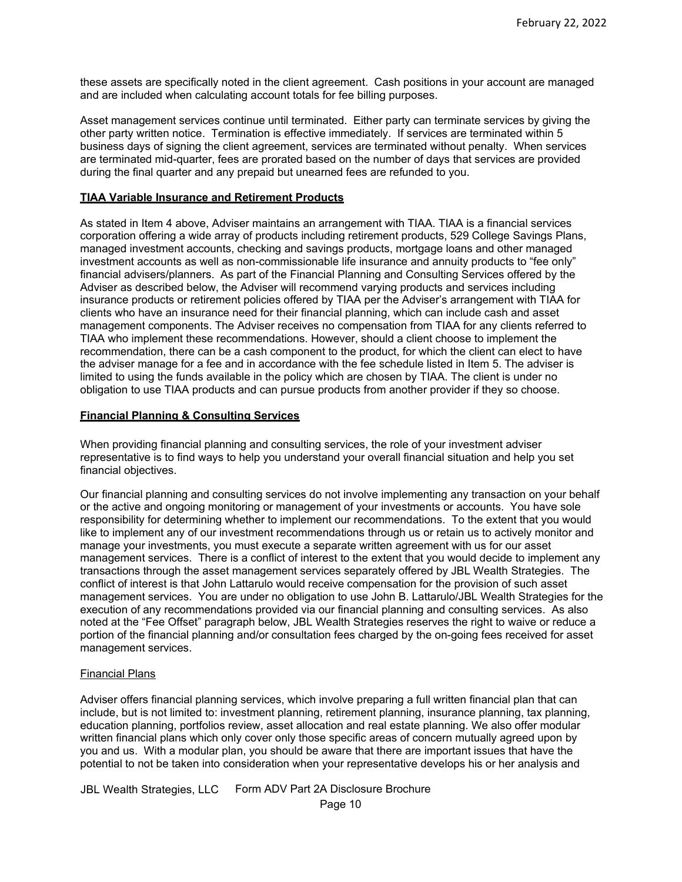these assets are specifically noted in the client agreement. Cash positions in your account are managed and are included when calculating account totals for fee billing purposes.

Asset management services continue until terminated. Either party can terminate services by giving the other party written notice. Termination is effective immediately. If services are terminated within 5 business days of signing the client agreement, services are terminated without penalty. When services are terminated mid-quarter, fees are prorated based on the number of days that services are provided during the final quarter and any prepaid but unearned fees are refunded to you.

## <span id="page-9-0"></span>**TIAA Variable Insurance and Retirement Products**

As stated in Item 4 above, Adviser maintains an arrangement with TIAA. TIAA is a financial services corporation offering a wide array of products including retirement products, 529 College Savings Plans, managed investment accounts, checking and savings products, mortgage loans and other managed investment accounts as well as non-commissionable life insurance and annuity products to "fee only" financial advisers/planners. As part of the Financial Planning and Consulting Services offered by the Adviser as described below, the Adviser will recommend varying products and services including insurance products or retirement policies offered by TIAA per the Adviser's arrangement with TIAA for clients who have an insurance need for their financial planning, which can include cash and asset management components. The Adviser receives no compensation from TIAA for any clients referred to TIAA who implement these recommendations. However, should a client choose to implement the recommendation, there can be a cash component to the product, for which the client can elect to have the adviser manage for a fee and in accordance with the fee schedule listed in Item 5. The adviser is limited to using the funds available in the policy which are chosen by TIAA. The client is under no obligation to use TIAA products and can pursue products from another provider if they so choose.

#### <span id="page-9-1"></span>**Financial Planning & Consulting Services**

When providing financial planning and consulting services, the role of your investment adviser representative is to find ways to help you understand your overall financial situation and help you set financial objectives.

Our financial planning and consulting services do not involve implementing any transaction on your behalf or the active and ongoing monitoring or management of your investments or accounts. You have sole responsibility for determining whether to implement our recommendations. To the extent that you would like to implement any of our investment recommendations through us or retain us to actively monitor and manage your investments, you must execute a separate written agreement with us for our asset management services. There is a conflict of interest to the extent that you would decide to implement any transactions through the asset management services separately offered by JBL Wealth Strategies. The conflict of interest is that John Lattarulo would receive compensation for the provision of such asset management services. You are under no obligation to use John B. Lattarulo/JBL Wealth Strategies for the execution of any recommendations provided via our financial planning and consulting services. As also noted at the "Fee Offset" paragraph below, JBL Wealth Strategies reserves the right to waive or reduce a portion of the financial planning and/or consultation fees charged by the on-going fees received for asset management services.

## Financial Plans

Adviser offers financial planning services, which involve preparing a full written financial plan that can include, but is not limited to: investment planning, retirement planning, insurance planning, tax planning, education planning, portfolios review, asset allocation and real estate planning. We also offer modular written financial plans which only cover only those specific areas of concern mutually agreed upon by you and us. With a modular plan, you should be aware that there are important issues that have the potential to not be taken into consideration when your representative develops his or her analysis and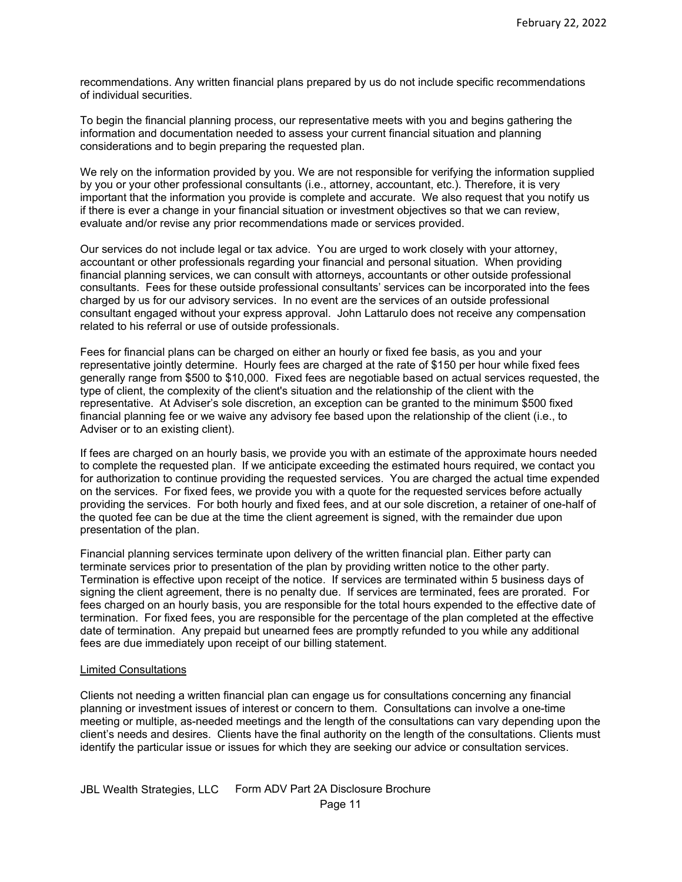recommendations. Any written financial plans prepared by us do not include specific recommendations of individual securities.

To begin the financial planning process, our representative meets with you and begins gathering the information and documentation needed to assess your current financial situation and planning considerations and to begin preparing the requested plan.

We rely on the information provided by you. We are not responsible for verifying the information supplied by you or your other professional consultants (i.e., attorney, accountant, etc.). Therefore, it is very important that the information you provide is complete and accurate. We also request that you notify us if there is ever a change in your financial situation or investment objectives so that we can review, evaluate and/or revise any prior recommendations made or services provided.

Our services do not include legal or tax advice. You are urged to work closely with your attorney, accountant or other professionals regarding your financial and personal situation. When providing financial planning services, we can consult with attorneys, accountants or other outside professional consultants. Fees for these outside professional consultants' services can be incorporated into the fees charged by us for our advisory services. In no event are the services of an outside professional consultant engaged without your express approval. John Lattarulo does not receive any compensation related to his referral or use of outside professionals.

Fees for financial plans can be charged on either an hourly or fixed fee basis, as you and your representative jointly determine. Hourly fees are charged at the rate of \$150 per hour while fixed fees generally range from \$500 to \$10,000. Fixed fees are negotiable based on actual services requested, the type of client, the complexity of the client's situation and the relationship of the client with the representative. At Adviser's sole discretion, an exception can be granted to the minimum \$500 fixed financial planning fee or we waive any advisory fee based upon the relationship of the client (i.e., to Adviser or to an existing client).

If fees are charged on an hourly basis, we provide you with an estimate of the approximate hours needed to complete the requested plan. If we anticipate exceeding the estimated hours required, we contact you for authorization to continue providing the requested services. You are charged the actual time expended on the services. For fixed fees, we provide you with a quote for the requested services before actually providing the services. For both hourly and fixed fees, and at our sole discretion, a retainer of one-half of the quoted fee can be due at the time the client agreement is signed, with the remainder due upon presentation of the plan.

Financial planning services terminate upon delivery of the written financial plan. Either party can terminate services prior to presentation of the plan by providing written notice to the other party. Termination is effective upon receipt of the notice. If services are terminated within 5 business days of signing the client agreement, there is no penalty due. If services are terminated, fees are prorated. For fees charged on an hourly basis, you are responsible for the total hours expended to the effective date of termination. For fixed fees, you are responsible for the percentage of the plan completed at the effective date of termination. Any prepaid but unearned fees are promptly refunded to you while any additional fees are due immediately upon receipt of our billing statement.

#### Limited Consultations

Clients not needing a written financial plan can engage us for consultations concerning any financial planning or investment issues of interest or concern to them. Consultations can involve a one-time meeting or multiple, as-needed meetings and the length of the consultations can vary depending upon the client's needs and desires. Clients have the final authority on the length of the consultations. Clients must identify the particular issue or issues for which they are seeking our advice or consultation services.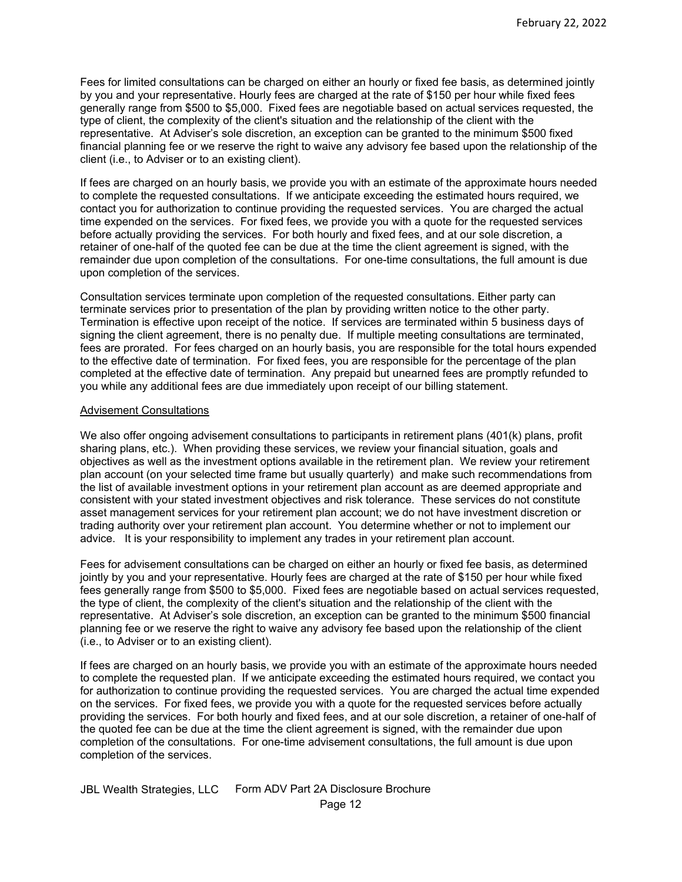Fees for limited consultations can be charged on either an hourly or fixed fee basis, as determined jointly by you and your representative. Hourly fees are charged at the rate of \$150 per hour while fixed fees generally range from \$500 to \$5,000. Fixed fees are negotiable based on actual services requested, the type of client, the complexity of the client's situation and the relationship of the client with the representative. At Adviser's sole discretion, an exception can be granted to the minimum \$500 fixed financial planning fee or we reserve the right to waive any advisory fee based upon the relationship of the client (i.e., to Adviser or to an existing client).

If fees are charged on an hourly basis, we provide you with an estimate of the approximate hours needed to complete the requested consultations. If we anticipate exceeding the estimated hours required, we contact you for authorization to continue providing the requested services. You are charged the actual time expended on the services. For fixed fees, we provide you with a quote for the requested services before actually providing the services. For both hourly and fixed fees, and at our sole discretion, a retainer of one-half of the quoted fee can be due at the time the client agreement is signed, with the remainder due upon completion of the consultations. For one-time consultations, the full amount is due upon completion of the services.

Consultation services terminate upon completion of the requested consultations. Either party can terminate services prior to presentation of the plan by providing written notice to the other party. Termination is effective upon receipt of the notice. If services are terminated within 5 business days of signing the client agreement, there is no penalty due. If multiple meeting consultations are terminated, fees are prorated. For fees charged on an hourly basis, you are responsible for the total hours expended to the effective date of termination. For fixed fees, you are responsible for the percentage of the plan completed at the effective date of termination. Any prepaid but unearned fees are promptly refunded to you while any additional fees are due immediately upon receipt of our billing statement.

#### Advisement Consultations

We also offer ongoing advisement consultations to participants in retirement plans (401(k) plans, profit sharing plans, etc.). When providing these services, we review your financial situation, goals and objectives as well as the investment options available in the retirement plan. We review your retirement plan account (on your selected time frame but usually quarterly) and make such recommendations from the list of available investment options in your retirement plan account as are deemed appropriate and consistent with your stated investment objectives and risk tolerance. These services do not constitute asset management services for your retirement plan account; we do not have investment discretion or trading authority over your retirement plan account. You determine whether or not to implement our advice. It is your responsibility to implement any trades in your retirement plan account.

Fees for advisement consultations can be charged on either an hourly or fixed fee basis, as determined jointly by you and your representative. Hourly fees are charged at the rate of \$150 per hour while fixed fees generally range from \$500 to \$5,000. Fixed fees are negotiable based on actual services requested, the type of client, the complexity of the client's situation and the relationship of the client with the representative. At Adviser's sole discretion, an exception can be granted to the minimum \$500 financial planning fee or we reserve the right to waive any advisory fee based upon the relationship of the client (i.e., to Adviser or to an existing client).

If fees are charged on an hourly basis, we provide you with an estimate of the approximate hours needed to complete the requested plan. If we anticipate exceeding the estimated hours required, we contact you for authorization to continue providing the requested services. You are charged the actual time expended on the services. For fixed fees, we provide you with a quote for the requested services before actually providing the services. For both hourly and fixed fees, and at our sole discretion, a retainer of one-half of the quoted fee can be due at the time the client agreement is signed, with the remainder due upon completion of the consultations. For one-time advisement consultations, the full amount is due upon completion of the services.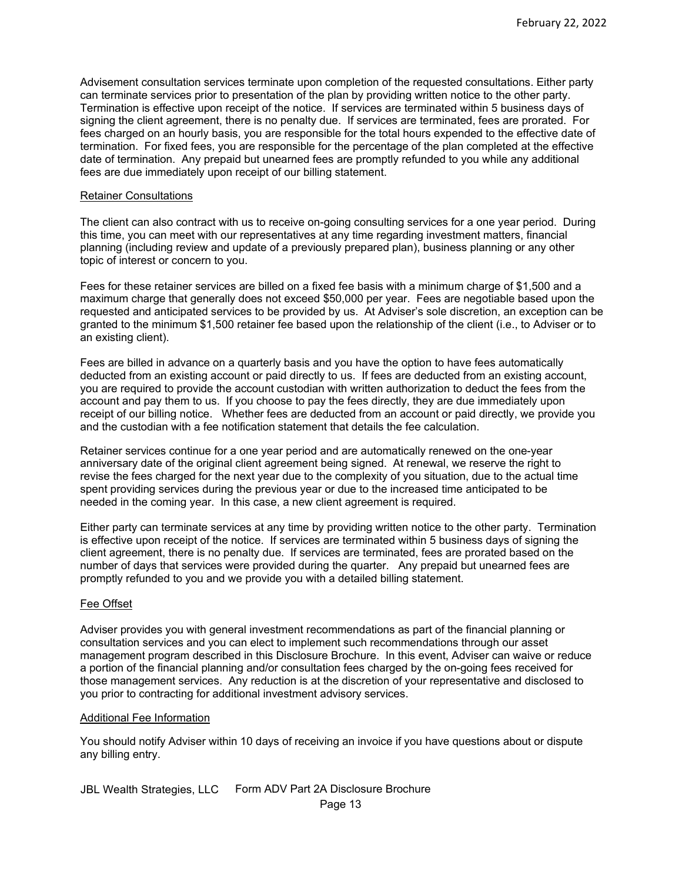Advisement consultation services terminate upon completion of the requested consultations. Either party can terminate services prior to presentation of the plan by providing written notice to the other party. Termination is effective upon receipt of the notice. If services are terminated within 5 business days of signing the client agreement, there is no penalty due. If services are terminated, fees are prorated. For fees charged on an hourly basis, you are responsible for the total hours expended to the effective date of termination. For fixed fees, you are responsible for the percentage of the plan completed at the effective date of termination. Any prepaid but unearned fees are promptly refunded to you while any additional fees are due immediately upon receipt of our billing statement.

#### Retainer Consultations

The client can also contract with us to receive on-going consulting services for a one year period. During this time, you can meet with our representatives at any time regarding investment matters, financial planning (including review and update of a previously prepared plan), business planning or any other topic of interest or concern to you.

Fees for these retainer services are billed on a fixed fee basis with a minimum charge of \$1,500 and a maximum charge that generally does not exceed \$50,000 per year. Fees are negotiable based upon the requested and anticipated services to be provided by us. At Adviser's sole discretion, an exception can be granted to the minimum \$1,500 retainer fee based upon the relationship of the client (i.e., to Adviser or to an existing client).

Fees are billed in advance on a quarterly basis and you have the option to have fees automatically deducted from an existing account or paid directly to us. If fees are deducted from an existing account, you are required to provide the account custodian with written authorization to deduct the fees from the account and pay them to us. If you choose to pay the fees directly, they are due immediately upon receipt of our billing notice. Whether fees are deducted from an account or paid directly, we provide you and the custodian with a fee notification statement that details the fee calculation.

Retainer services continue for a one year period and are automatically renewed on the one-year anniversary date of the original client agreement being signed. At renewal, we reserve the right to revise the fees charged for the next year due to the complexity of you situation, due to the actual time spent providing services during the previous year or due to the increased time anticipated to be needed in the coming year. In this case, a new client agreement is required.

Either party can terminate services at any time by providing written notice to the other party. Termination is effective upon receipt of the notice. If services are terminated within 5 business days of signing the client agreement, there is no penalty due. If services are terminated, fees are prorated based on the number of days that services were provided during the quarter. Any prepaid but unearned fees are promptly refunded to you and we provide you with a detailed billing statement.

## Fee Offset

Adviser provides you with general investment recommendations as part of the financial planning or consultation services and you can elect to implement such recommendations through our asset management program described in this Disclosure Brochure. In this event, Adviser can waive or reduce a portion of the financial planning and/or consultation fees charged by the on-going fees received for those management services. Any reduction is at the discretion of your representative and disclosed to you prior to contracting for additional investment advisory services.

#### Additional Fee Information

You should notify Adviser within 10 days of receiving an invoice if you have questions about or dispute any billing entry.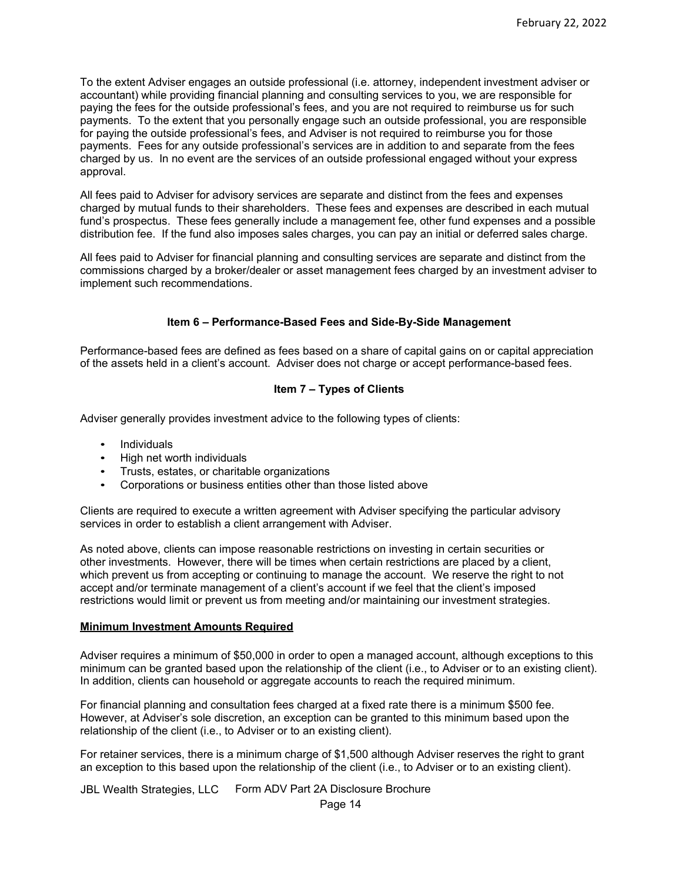To the extent Adviser engages an outside professional (i.e. attorney, independent investment adviser or accountant) while providing financial planning and consulting services to you, we are responsible for paying the fees for the outside professional's fees, and you are not required to reimburse us for such payments. To the extent that you personally engage such an outside professional, you are responsible for paying the outside professional's fees, and Adviser is not required to reimburse you for those payments. Fees for any outside professional's services are in addition to and separate from the fees charged by us. In no event are the services of an outside professional engaged without your express approval.

All fees paid to Adviser for advisory services are separate and distinct from the fees and expenses charged by mutual funds to their shareholders. These fees and expenses are described in each mutual fund's prospectus. These fees generally include a management fee, other fund expenses and a possible distribution fee. If the fund also imposes sales charges, you can pay an initial or deferred sales charge.

All fees paid to Adviser for financial planning and consulting services are separate and distinct from the commissions charged by a broker/dealer or asset management fees charged by an investment adviser to implement such recommendations.

# **Item 6 – Performance-Based Fees and Side-By-Side Management**

<span id="page-13-0"></span>Performance-based fees are defined as fees based on a share of capital gains on or capital appreciation of the assets held in a client's account. Adviser does not charge or accept performance-based fees.

# **Item 7 – Types of Clients**

<span id="page-13-1"></span>Adviser generally provides investment advice to the following types of clients:

- Individuals
- High net worth individuals
- Trusts, estates, or charitable organizations
- Corporations or business entities other than those listed above

Clients are required to execute a written agreement with Adviser specifying the particular advisory services in order to establish a client arrangement with Adviser.

As noted above, clients can impose reasonable restrictions on investing in certain securities or other investments. However, there will be times when certain restrictions are placed by a client, which prevent us from accepting or continuing to manage the account. We reserve the right to not accept and/or terminate management of a client's account if we feel that the client's imposed restrictions would limit or prevent us from meeting and/or maintaining our investment strategies.

## <span id="page-13-2"></span>**Minimum Investment Amounts Required**

Adviser requires a minimum of \$50,000 in order to open a managed account, although exceptions to this minimum can be granted based upon the relationship of the client (i.e., to Adviser or to an existing client). In addition, clients can household or aggregate accounts to reach the required minimum.

For financial planning and consultation fees charged at a fixed rate there is a minimum \$500 fee. However, at Adviser's sole discretion, an exception can be granted to this minimum based upon the relationship of the client (i.e., to Adviser or to an existing client).

For retainer services, there is a minimum charge of \$1,500 although Adviser reserves the right to grant an exception to this based upon the relationship of the client (i.e., to Adviser or to an existing client).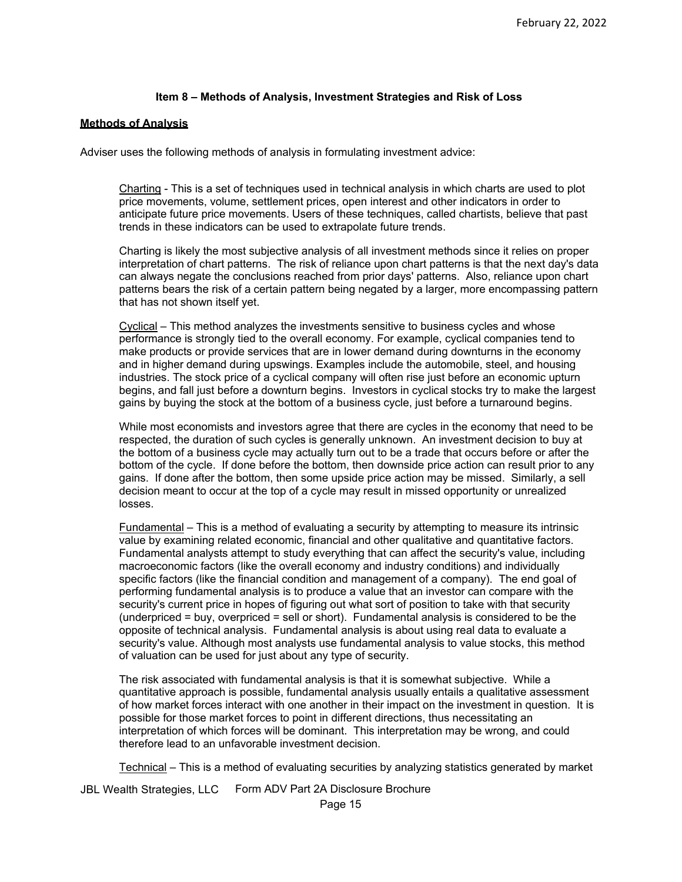## **Item 8 – Methods of Analysis, Investment Strategies and Risk of Loss**

#### <span id="page-14-1"></span><span id="page-14-0"></span>**Methods of Analysis**

Adviser uses the following methods of analysis in formulating investment advice:

Charting - This is a set of techniques used in technical analysis in which charts are used to plot price movements, volume, settlement prices, open interest and other indicators in order to anticipate future price movements. Users of these techniques, called chartists, believe that past trends in these indicators can be used to extrapolate future trends.

Charting is likely the most subjective analysis of all investment methods since it relies on proper interpretation of chart patterns. The risk of reliance upon chart patterns is that the next day's data can always negate the conclusions reached from prior days' patterns. Also, reliance upon chart patterns bears the risk of a certain pattern being negated by a larger, more encompassing pattern that has not shown itself yet.

Cyclical – This method analyzes the investments sensitive to business cycles and whose performance is strongly tied to the overall economy. For example, cyclical companies tend to make products or provide services that are in lower demand during downturns in the economy and in higher demand during upswings. Examples include the automobile, steel, and housing industries. The stock price of a cyclical company will often rise just before an economic upturn begins, and fall just before a downturn begins. Investors in cyclical stocks try to make the largest gains by buying the stock at the bottom of a business cycle, just before a turnaround begins.

While most economists and investors agree that there are cycles in the economy that need to be respected, the duration of such cycles is generally unknown. An investment decision to buy at the bottom of a business cycle may actually turn out to be a trade that occurs before or after the bottom of the cycle. If done before the bottom, then downside price action can result prior to any gains. If done after the bottom, then some upside price action may be missed. Similarly, a sell decision meant to occur at the top of a cycle may result in missed opportunity or unrealized losses.

Fundamental – This is a method of evaluating a security by attempting to measure its intrinsic value by examining related economic, financial and other qualitative and quantitative factors. Fundamental analysts attempt to study everything that can affect the security's value, including macroeconomic factors (like the overall economy and industry conditions) and individually specific factors (like the financial condition and management of a company). The end goal of performing fundamental analysis is to produce a value that an investor can compare with the security's current price in hopes of figuring out what sort of position to take with that security (underpriced = buy, overpriced = sell or short). Fundamental analysis is considered to be the opposite of technical analysis. Fundamental analysis is about using real data to evaluate a security's value. Although most analysts use fundamental analysis to value stocks, this method of valuation can be used for just about any type of security.

The risk associated with fundamental analysis is that it is somewhat subjective. While a quantitative approach is possible, fundamental analysis usually entails a qualitative assessment of how market forces interact with one another in their impact on the investment in question. It is possible for those market forces to point in different directions, thus necessitating an interpretation of which forces will be dominant. This interpretation may be wrong, and could therefore lead to an unfavorable investment decision.

Technical – This is a method of evaluating securities by analyzing statistics generated by market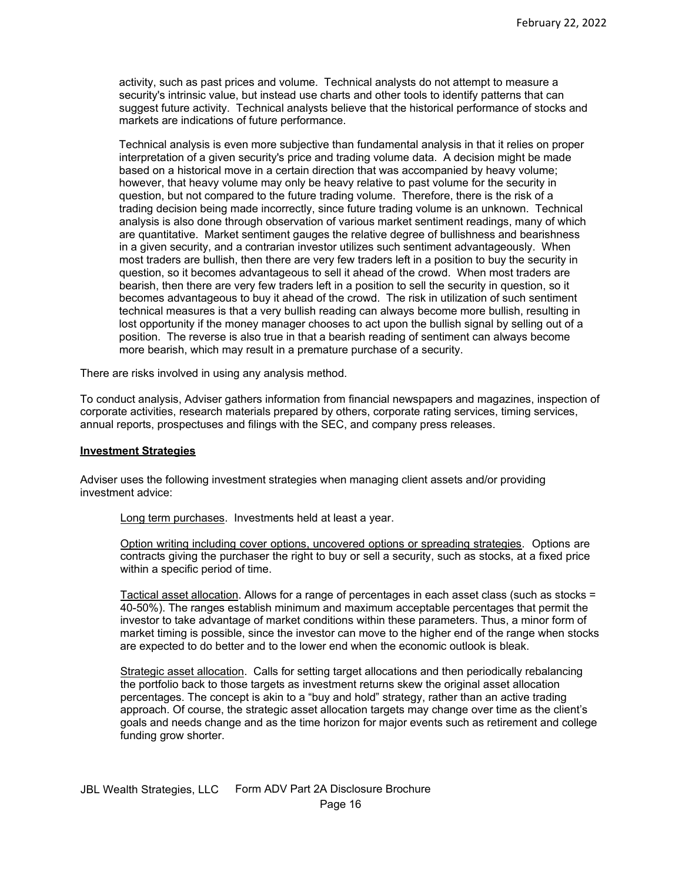activity, such as past prices and volume. Technical analysts do not attempt to measure a security's intrinsic value, but instead use charts and other tools to identify patterns that can suggest future activity. Technical analysts believe that the historical performance of stocks and markets are indications of future performance.

Technical analysis is even more subjective than fundamental analysis in that it relies on proper interpretation of a given security's price and trading volume data. A decision might be made based on a historical move in a certain direction that was accompanied by heavy volume; however, that heavy volume may only be heavy relative to past volume for the security in question, but not compared to the future trading volume. Therefore, there is the risk of a trading decision being made incorrectly, since future trading volume is an unknown. Technical analysis is also done through observation of various market sentiment readings, many of which are quantitative. Market sentiment gauges the relative degree of bullishness and bearishness in a given security, and a contrarian investor utilizes such sentiment advantageously. When most traders are bullish, then there are very few traders left in a position to buy the security in question, so it becomes advantageous to sell it ahead of the crowd. When most traders are bearish, then there are very few traders left in a position to sell the security in question, so it becomes advantageous to buy it ahead of the crowd. The risk in utilization of such sentiment technical measures is that a very bullish reading can always become more bullish, resulting in lost opportunity if the money manager chooses to act upon the bullish signal by selling out of a position. The reverse is also true in that a bearish reading of sentiment can always become more bearish, which may result in a premature purchase of a security.

There are risks involved in using any analysis method.

To conduct analysis, Adviser gathers information from financial newspapers and magazines, inspection of corporate activities, research materials prepared by others, corporate rating services, timing services, annual reports, prospectuses and filings with the SEC, and company press releases.

#### <span id="page-15-0"></span>**Investment Strategies**

Adviser uses the following investment strategies when managing client assets and/or providing investment advice:

Long term purchases. Investments held at least a year.

Option writing including cover options, uncovered options or spreading strategies. Options are contracts giving the purchaser the right to buy or sell a security, such as stocks, at a fixed price within a specific period of time.

Tactical asset allocation. Allows for a range of percentages in each asset class (such as stocks = 40-50%). The ranges establish minimum and maximum acceptable percentages that permit the investor to take advantage of market conditions within these parameters. Thus, a minor form of market timing is possible, since the investor can move to the higher end of the range when stocks are expected to do better and to the lower end when the economic outlook is bleak.

<span id="page-15-1"></span>Strategic asset allocation. Calls for setting target allocations and then periodically rebalancing the portfolio back to those targets as investment returns skew the original asset allocation percentages. The concept is akin to a "buy and hold" strategy, rather than an active trading approach. Of course, the strategic asset allocation targets may change over time as the client's goals and needs change and as the time horizon for major events such as retirement and college funding grow shorter.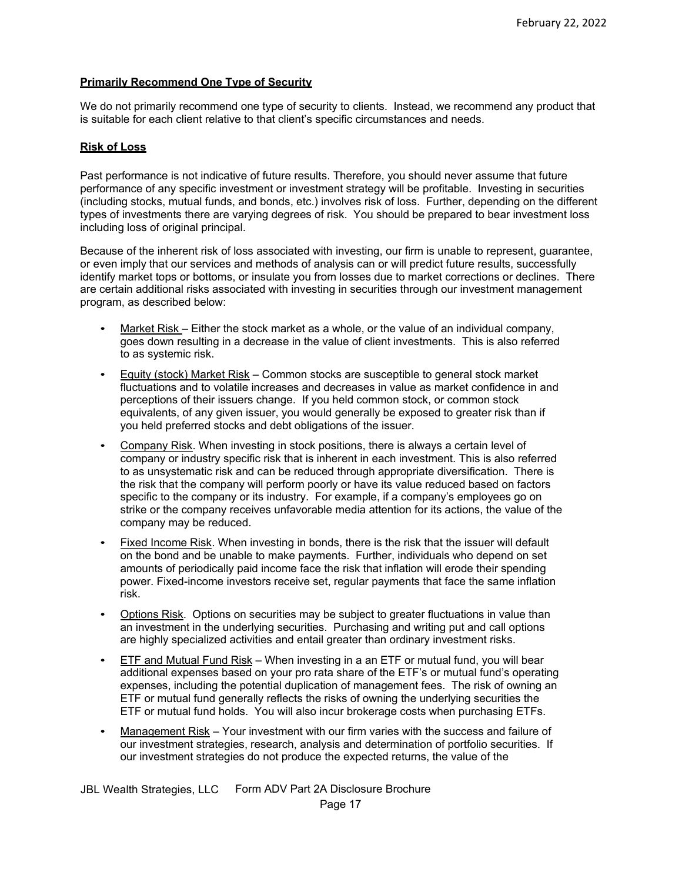# **Primarily Recommend One Type of Security**

We do not primarily recommend one type of security to clients. Instead, we recommend any product that is suitable for each client relative to that client's specific circumstances and needs.

# <span id="page-16-0"></span>**Risk of Loss**

Past performance is not indicative of future results. Therefore, you should never assume that future performance of any specific investment or investment strategy will be profitable. Investing in securities (including stocks, mutual funds, and bonds, etc.) involves risk of loss. Further, depending on the different types of investments there are varying degrees of risk. You should be prepared to bear investment loss including loss of original principal.

Because of the inherent risk of loss associated with investing, our firm is unable to represent, guarantee, or even imply that our services and methods of analysis can or will predict future results, successfully identify market tops or bottoms, or insulate you from losses due to market corrections or declines. There are certain additional risks associated with investing in securities through our investment management program, as described below:

- Market Risk Either the stock market as a whole, or the value of an individual company, goes down resulting in a decrease in the value of client investments. This is also referred to as systemic risk.
- Equity (stock) Market Risk Common stocks are susceptible to general stock market fluctuations and to volatile increases and decreases in value as market confidence in and perceptions of their issuers change. If you held common stock, or common stock equivalents, of any given issuer, you would generally be exposed to greater risk than if you held preferred stocks and debt obligations of the issuer.
- Company Risk. When investing in stock positions, there is always a certain level of company or industry specific risk that is inherent in each investment. This is also referred to as unsystematic risk and can be reduced through appropriate diversification. There is the risk that the company will perform poorly or have its value reduced based on factors specific to the company or its industry. For example, if a company's employees go on strike or the company receives unfavorable media attention for its actions, the value of the company may be reduced.
- Fixed Income Risk. When investing in bonds, there is the risk that the issuer will default on the bond and be unable to make payments. Further, individuals who depend on set amounts of periodically paid income face the risk that inflation will erode their spending power. Fixed-income investors receive set, regular payments that face the same inflation risk.
- Options Risk. Options on securities may be subject to greater fluctuations in value than an investment in the underlying securities. Purchasing and writing put and call options are highly specialized activities and entail greater than ordinary investment risks.
- ETF and Mutual Fund Risk When investing in a an ETF or mutual fund, you will bear additional expenses based on your pro rata share of the ETF's or mutual fund's operating expenses, including the potential duplication of management fees. The risk of owning an ETF or mutual fund generally reflects the risks of owning the underlying securities the ETF or mutual fund holds. You will also incur brokerage costs when purchasing ETFs.
- Management Risk Your investment with our firm varies with the success and failure of our investment strategies, research, analysis and determination of portfolio securities. If our investment strategies do not produce the expected returns, the value of the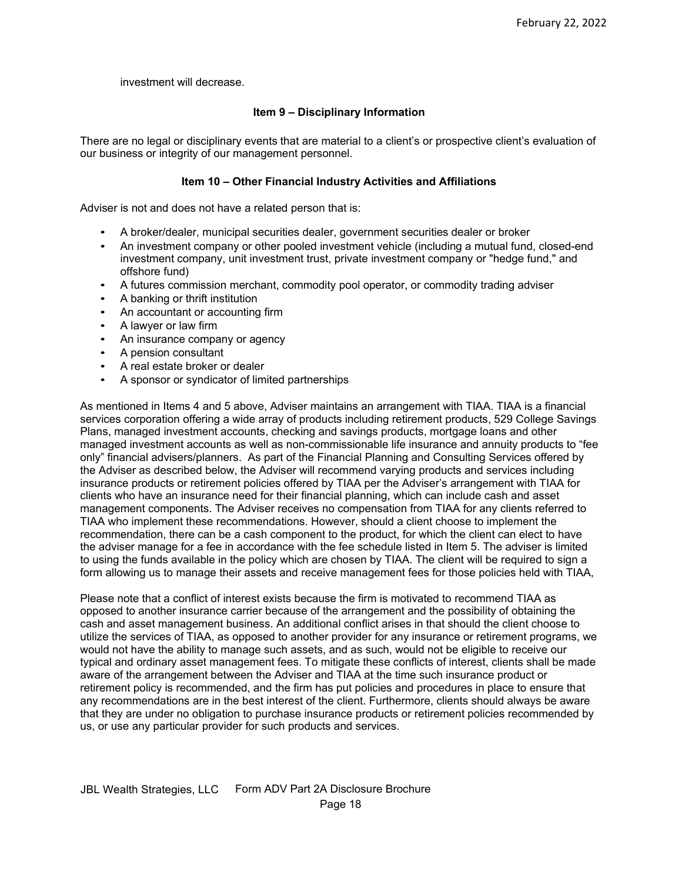investment will decrease.

# **Item 9 – Disciplinary Information**

<span id="page-17-0"></span>There are no legal or disciplinary events that are material to a client's or prospective client's evaluation of our business or integrity of our management personnel.

## **Item 10 – Other Financial Industry Activities and Affiliations**

<span id="page-17-1"></span>Adviser is not and does not have a related person that is:

- A broker/dealer, municipal securities dealer, government securities dealer or broker
- An investment company or other pooled investment vehicle (including a mutual fund, closed-end investment company, unit investment trust, private investment company or "hedge fund," and offshore fund)
- A futures commission merchant, commodity pool operator, or commodity trading adviser
- A banking or thrift institution
- An accountant or accounting firm
- A lawyer or law firm
- An insurance company or agency
- A pension consultant
- A real estate broker or dealer
- A sponsor or syndicator of limited partnerships

As mentioned in Items 4 and 5 above, Adviser maintains an arrangement with TIAA. TIAA is a financial services corporation offering a wide array of products including retirement products, 529 College Savings Plans, managed investment accounts, checking and savings products, mortgage loans and other managed investment accounts as well as non-commissionable life insurance and annuity products to "fee only" financial advisers/planners. As part of the Financial Planning and Consulting Services offered by the Adviser as described below, the Adviser will recommend varying products and services including insurance products or retirement policies offered by TIAA per the Adviser's arrangement with TIAA for clients who have an insurance need for their financial planning, which can include cash and asset management components. The Adviser receives no compensation from TIAA for any clients referred to TIAA who implement these recommendations. However, should a client choose to implement the recommendation, there can be a cash component to the product, for which the client can elect to have the adviser manage for a fee in accordance with the fee schedule listed in Item 5. The adviser is limited to using the funds available in the policy which are chosen by TIAA. The client will be required to sign a form allowing us to manage their assets and receive management fees for those policies held with TIAA,

<span id="page-17-2"></span>Please note that a conflict of interest exists because the firm is motivated to recommend TIAA as opposed to another insurance carrier because of the arrangement and the possibility of obtaining the cash and asset management business. An additional conflict arises in that should the client choose to utilize the services of TIAA, as opposed to another provider for any insurance or retirement programs, we would not have the ability to manage such assets, and as such, would not be eligible to receive our typical and ordinary asset management fees. To mitigate these conflicts of interest, clients shall be made aware of the arrangement between the Adviser and TIAA at the time such insurance product or retirement policy is recommended, and the firm has put policies and procedures in place to ensure that any recommendations are in the best interest of the client. Furthermore, clients should always be aware that they are under no obligation to purchase insurance products or retirement policies recommended by us, or use any particular provider for such products and services.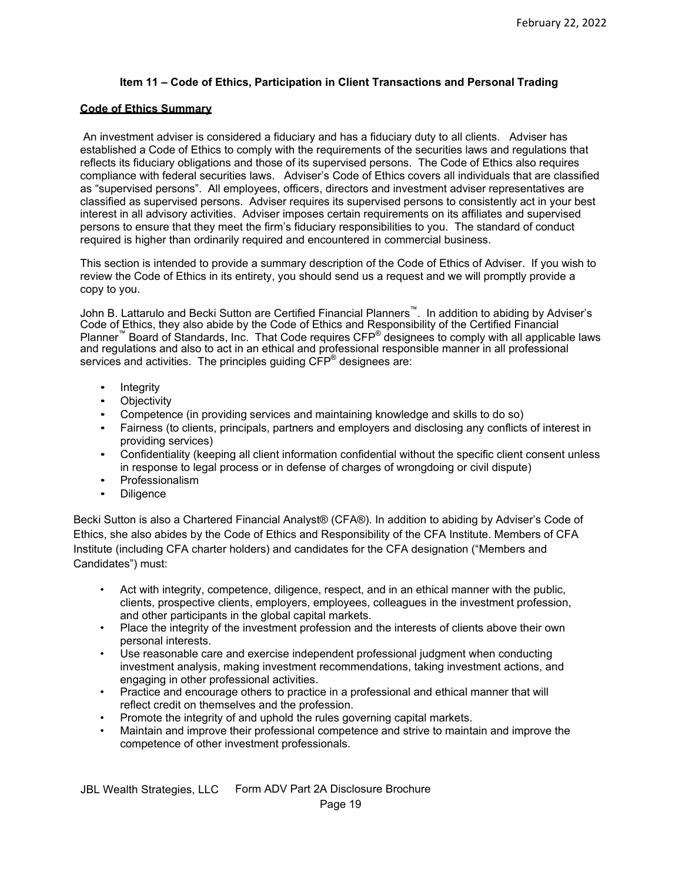# **Item 11 – Code of Ethics, Participation in Client Transactions and Personal Trading**

## <span id="page-18-0"></span>**Code of Ethics Summary**

An investment adviser is considered a fiduciary and has a fiduciary duty to all clients. Adviser has established a Code of Ethics to comply with the requirements of the securities laws and regulations that reflects its fiduciary obligations and those of its supervised persons. The Code of Ethics also requires compliance with federal securities laws. Adviser's Code of Ethics covers all individuals that are classified as "supervised persons". All employees, officers, directors and investment adviser representatives are classified as supervised persons. Adviser requires its supervised persons to consistently act in your best interest in all advisory activities. Adviser imposes certain requirements on its affiliates and supervised persons to ensure that they meet the firm's fiduciary responsibilities to you. The standard of conduct required is higher than ordinarily required and encountered in commercial business.

This section is intended to provide a summary description of the Code of Ethics of Adviser. If you wish to review the Code of Ethics in its entirety, you should send us a request and we will promptly provide a copy to you.

John B. Lattarulo and Becki Sutton are Certified Financial Planners™. In addition to abiding by Adviser's Code of Ethics, they also abide by the Code of Ethics and Responsibility of the Certified Financial Planner<sup>™</sup> Board of Standards, Inc. That Code requires CFP<sup>®</sup> designees to comply with all applicable laws and regulations and also to act in an ethical and professional responsible manner in all professional services and activities. The principles guiding CFP<sup>®</sup> designees are:

- Integrity
- **Objectivity**
- Competence (in providing services and maintaining knowledge and skills to do so)
- Fairness (to clients, principals, partners and employers and disclosing any conflicts of interest in providing services)
- Confidentiality (keeping all client information confidential without the specific client consent unless in response to legal process or in defense of charges of wrongdoing or civil dispute)
- Professionalism
- **Diligence**

Becki Sutton is also a Chartered Financial Analyst® (CFA®). In addition to abiding by Adviser's Code of Ethics, she also abides by the Code of Ethics and Responsibility of the CFA Institute. Members of CFA Institute (including CFA charter holders) and candidates for the CFA designation ("Members and Candidates") must:

- Act with integrity, competence, diligence, respect, and in an ethical manner with the public, clients, prospective clients, employers, employees, colleagues in the investment profession, and other participants in the global capital markets.
- Place the integrity of the investment profession and the interests of clients above their own personal interests.
- Use reasonable care and exercise independent professional judgment when conducting investment analysis, making investment recommendations, taking investment actions, and engaging in other professional activities.
- Practice and encourage others to practice in a professional and ethical manner that will reflect credit on themselves and the profession.
- Promote the integrity of and uphold the rules governing capital markets.
- Maintain and improve their professional competence and strive to maintain and improve the competence of other investment professionals.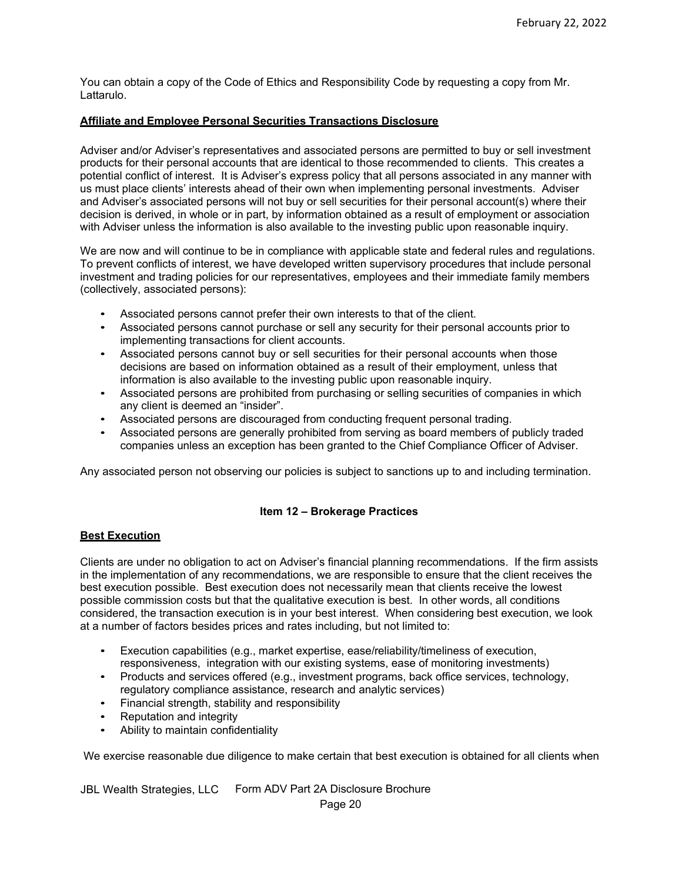You can obtain a copy of the Code of Ethics and Responsibility Code by requesting a copy from Mr. Lattarulo.

#### <span id="page-19-0"></span>**Affiliate and Employee Personal Securities Transactions Disclosure**

Adviser and/or Adviser's representatives and associated persons are permitted to buy or sell investment products for their personal accounts that are identical to those recommended to clients. This creates a potential conflict of interest. It is Adviser's express policy that all persons associated in any manner with us must place clients' interests ahead of their own when implementing personal investments. Adviser and Adviser's associated persons will not buy or sell securities for their personal account(s) where their decision is derived, in whole or in part, by information obtained as a result of employment or association with Adviser unless the information is also available to the investing public upon reasonable inquiry.

We are now and will continue to be in compliance with applicable state and federal rules and regulations. To prevent conflicts of interest, we have developed written supervisory procedures that include personal investment and trading policies for our representatives, employees and their immediate family members (collectively, associated persons):

- Associated persons cannot prefer their own interests to that of the client.
- Associated persons cannot purchase or sell any security for their personal accounts prior to implementing transactions for client accounts.
- Associated persons cannot buy or sell securities for their personal accounts when those decisions are based on information obtained as a result of their employment, unless that information is also available to the investing public upon reasonable inquiry.
- Associated persons are prohibited from purchasing or selling securities of companies in which any client is deemed an "insider".
- Associated persons are discouraged from conducting frequent personal trading.
- Associated persons are generally prohibited from serving as board members of publicly traded companies unless an exception has been granted to the Chief Compliance Officer of Adviser.

Any associated person not observing our policies is subject to sanctions up to and including termination.

## **Item 12 – Brokerage Practices**

## <span id="page-19-2"></span><span id="page-19-1"></span>**Best Execution**

Clients are under no obligation to act on Adviser's financial planning recommendations. If the firm assists in the implementation of any recommendations, we are responsible to ensure that the client receives the best execution possible. Best execution does not necessarily mean that clients receive the lowest possible commission costs but that the qualitative execution is best. In other words, all conditions considered, the transaction execution is in your best interest. When considering best execution, we look at a number of factors besides prices and rates including, but not limited to:

- Execution capabilities (e.g., market expertise, ease/reliability/timeliness of execution, responsiveness, integration with our existing systems, ease of monitoring investments)
- Products and services offered (e.g., investment programs, back office services, technology, regulatory compliance assistance, research and analytic services)
- Financial strength, stability and responsibility
- Reputation and integrity
- Ability to maintain confidentiality

We exercise reasonable due diligence to make certain that best execution is obtained for all clients when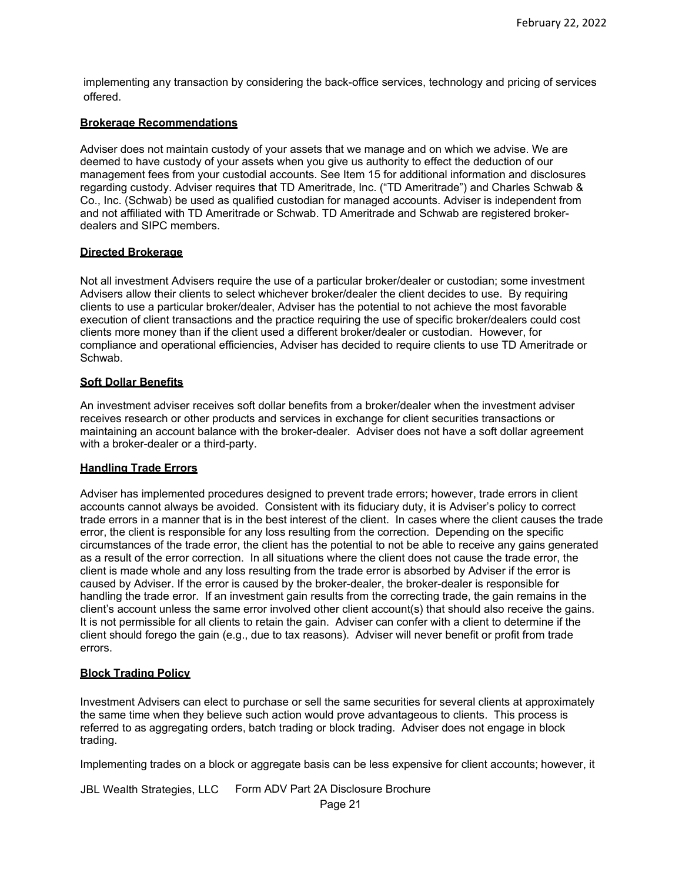implementing any transaction by considering the back-office services, technology and pricing of services offered.

## <span id="page-20-0"></span>**Brokerage Recommendations**

Adviser does not maintain custody of your assets that we manage and on which we advise. We are deemed to have custody of your assets when you give us authority to effect the deduction of our management fees from your custodial accounts. See Item 15 for additional information and disclosures regarding custody. Adviser requires that TD Ameritrade, Inc. ("TD Ameritrade") and Charles Schwab & Co., Inc. (Schwab) be used as qualified custodian for managed accounts. Adviser is independent from and not affiliated with TD Ameritrade or Schwab. TD Ameritrade and Schwab are registered brokerdealers and SIPC members.

# <span id="page-20-1"></span>**Directed Brokerage**

Not all investment Advisers require the use of a particular broker/dealer or custodian; some investment Advisers allow their clients to select whichever broker/dealer the client decides to use. By requiring clients to use a particular broker/dealer, Adviser has the potential to not achieve the most favorable execution of client transactions and the practice requiring the use of specific broker/dealers could cost clients more money than if the client used a different broker/dealer or custodian. However, for compliance and operational efficiencies, Adviser has decided to require clients to use TD Ameritrade or Schwab.

# <span id="page-20-2"></span>**Soft Dollar Benefits**

An investment adviser receives soft dollar benefits from a broker/dealer when the investment adviser receives research or other products and services in exchange for client securities transactions or maintaining an account balance with the broker-dealer. Adviser does not have a soft dollar agreement with a broker-dealer or a third-party.

## <span id="page-20-3"></span>**Handling Trade Errors**

Adviser has implemented procedures designed to prevent trade errors; however, trade errors in client accounts cannot always be avoided. Consistent with its fiduciary duty, it is Adviser's policy to correct trade errors in a manner that is in the best interest of the client. In cases where the client causes the trade error, the client is responsible for any loss resulting from the correction. Depending on the specific circumstances of the trade error, the client has the potential to not be able to receive any gains generated as a result of the error correction. In all situations where the client does not cause the trade error, the client is made whole and any loss resulting from the trade error is absorbed by Adviser if the error is caused by Adviser. If the error is caused by the broker-dealer, the broker-dealer is responsible for handling the trade error. If an investment gain results from the correcting trade, the gain remains in the client's account unless the same error involved other client account(s) that should also receive the gains. It is not permissible for all clients to retain the gain. Adviser can confer with a client to determine if the client should forego the gain (e.g., due to tax reasons). Adviser will never benefit or profit from trade errors.

## <span id="page-20-4"></span>**Block Trading Policy**

Investment Advisers can elect to purchase or sell the same securities for several clients at approximately the same time when they believe such action would prove advantageous to clients. This process is referred to as aggregating orders, batch trading or block trading. Adviser does not engage in block trading.

Implementing trades on a block or aggregate basis can be less expensive for client accounts; however, it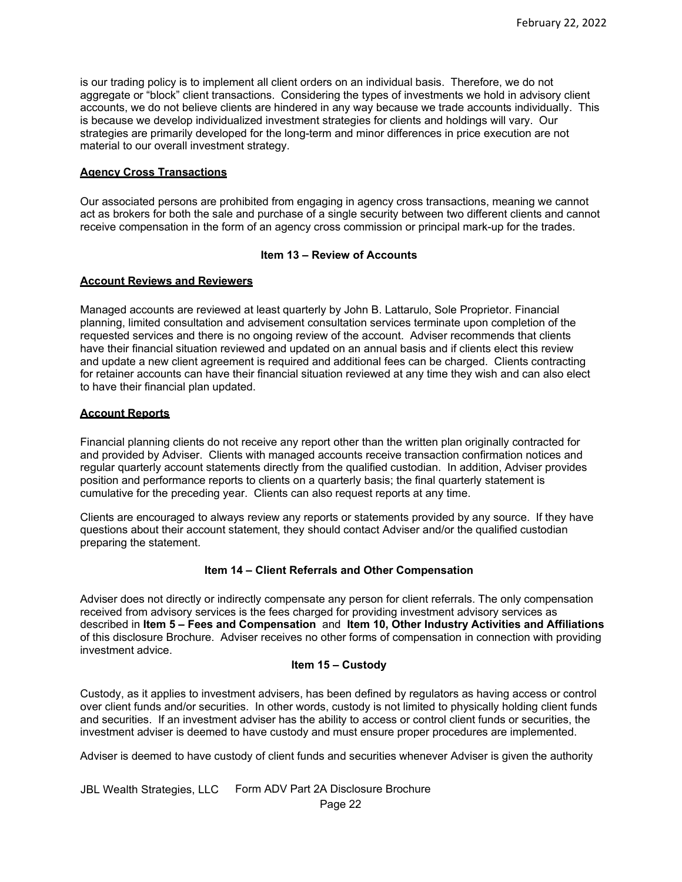is our trading policy is to implement all client orders on an individual basis. Therefore, we do not aggregate or "block" client transactions. Considering the types of investments we hold in advisory client accounts, we do not believe clients are hindered in any way because we trade accounts individually. This is because we develop individualized investment strategies for clients and holdings will vary. Our strategies are primarily developed for the long-term and minor differences in price execution are not material to our overall investment strategy.

# <span id="page-21-0"></span>**Agency Cross Transactions**

Our associated persons are prohibited from engaging in agency cross transactions, meaning we cannot act as brokers for both the sale and purchase of a single security between two different clients and cannot receive compensation in the form of an agency cross commission or principal mark-up for the trades.

## **Item 13 – Review of Accounts**

# <span id="page-21-2"></span><span id="page-21-1"></span>**Account Reviews and Reviewers**

Managed accounts are reviewed at least quarterly by John B. Lattarulo, Sole Proprietor. Financial planning, limited consultation and advisement consultation services terminate upon completion of the requested services and there is no ongoing review of the account. Adviser recommends that clients have their financial situation reviewed and updated on an annual basis and if clients elect this review and update a new client agreement is required and additional fees can be charged. Clients contracting for retainer accounts can have their financial situation reviewed at any time they wish and can also elect to have their financial plan updated.

# <span id="page-21-3"></span>**Account Reports**

Financial planning clients do not receive any report other than the written plan originally contracted for and provided by Adviser. Clients with managed accounts receive transaction confirmation notices and regular quarterly account statements directly from the qualified custodian. In addition, Adviser provides position and performance reports to clients on a quarterly basis; the final quarterly statement is cumulative for the preceding year. Clients can also request reports at any time.

Clients are encouraged to always review any reports or statements provided by any source. If they have questions about their account statement, they should contact Adviser and/or the qualified custodian preparing the statement.

## **Item 14 – Client Referrals and Other Compensation**

<span id="page-21-4"></span>Adviser does not directly or indirectly compensate any person for client referrals. The only compensation received from advisory services is the fees charged for providing investment advisory services as described in **Item 5 – Fees and Compensation** and **Item 10, Other Industry Activities and Affiliations** of this disclosure Brochure. Adviser receives no other forms of compensation in connection with providing investment advice.

# **Item 15 – Custody**

<span id="page-21-5"></span>Custody, as it applies to investment advisers, has been defined by regulators as having access or control over client funds and/or securities. In other words, custody is not limited to physically holding client funds and securities. If an investment adviser has the ability to access or control client funds or securities, the investment adviser is deemed to have custody and must ensure proper procedures are implemented.

Adviser is deemed to have custody of client funds and securities whenever Adviser is given the authority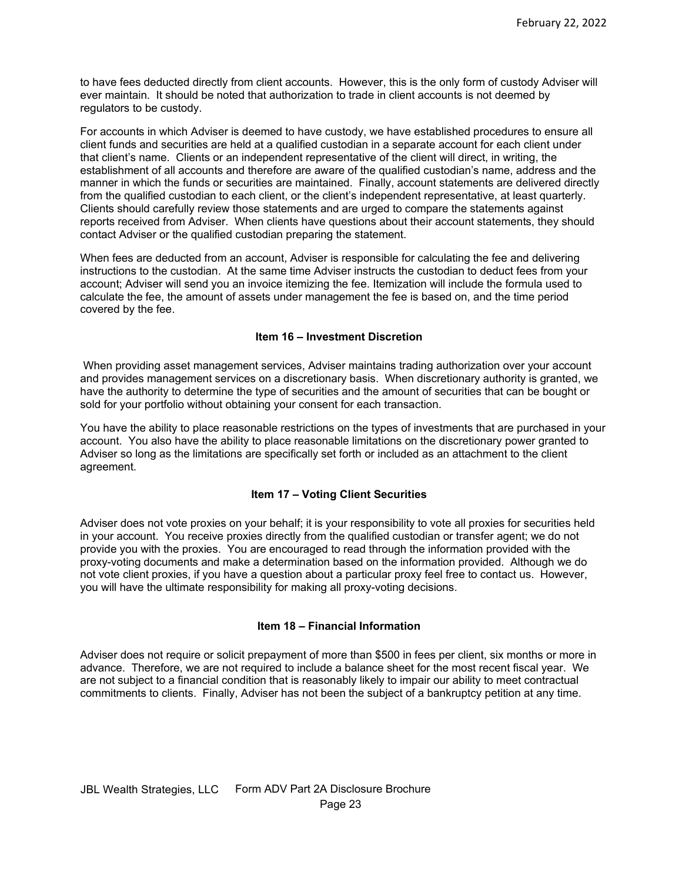to have fees deducted directly from client accounts. However, this is the only form of custody Adviser will ever maintain. It should be noted that authorization to trade in client accounts is not deemed by regulators to be custody.

For accounts in which Adviser is deemed to have custody, we have established procedures to ensure all client funds and securities are held at a qualified custodian in a separate account for each client under that client's name. Clients or an independent representative of the client will direct, in writing, the establishment of all accounts and therefore are aware of the qualified custodian's name, address and the manner in which the funds or securities are maintained. Finally, account statements are delivered directly from the qualified custodian to each client, or the client's independent representative, at least quarterly. Clients should carefully review those statements and are urged to compare the statements against reports received from Adviser. When clients have questions about their account statements, they should contact Adviser or the qualified custodian preparing the statement.

When fees are deducted from an account, Adviser is responsible for calculating the fee and delivering instructions to the custodian. At the same time Adviser instructs the custodian to deduct fees from your account; Adviser will send you an invoice itemizing the fee. Itemization will include the formula used to calculate the fee, the amount of assets under management the fee is based on, and the time period covered by the fee.

# **Item 16 – Investment Discretion**

<span id="page-22-0"></span>When providing asset management services, Adviser maintains trading authorization over your account and provides management services on a discretionary basis. When discretionary authority is granted, we have the authority to determine the type of securities and the amount of securities that can be bought or sold for your portfolio without obtaining your consent for each transaction.

You have the ability to place reasonable restrictions on the types of investments that are purchased in your account. You also have the ability to place reasonable limitations on the discretionary power granted to Adviser so long as the limitations are specifically set forth or included as an attachment to the client agreement.

## **Item 17 – Voting Client Securities**

<span id="page-22-1"></span>Adviser does not vote proxies on your behalf; it is your responsibility to vote all proxies for securities held in your account. You receive proxies directly from the qualified custodian or transfer agent; we do not provide you with the proxies. You are encouraged to read through the information provided with the proxy-voting documents and make a determination based on the information provided. Although we do not vote client proxies, if you have a question about a particular proxy feel free to contact us. However, you will have the ultimate responsibility for making all proxy-voting decisions.

## **Item 18 – Financial Information**

<span id="page-22-3"></span><span id="page-22-2"></span>Adviser does not require or solicit prepayment of more than \$500 in fees per client, six months or more in advance. Therefore, we are not required to include a balance sheet for the most recent fiscal year. We are not subject to a financial condition that is reasonably likely to impair our ability to meet contractual commitments to clients. Finally, Adviser has not been the subject of a bankruptcy petition at any time.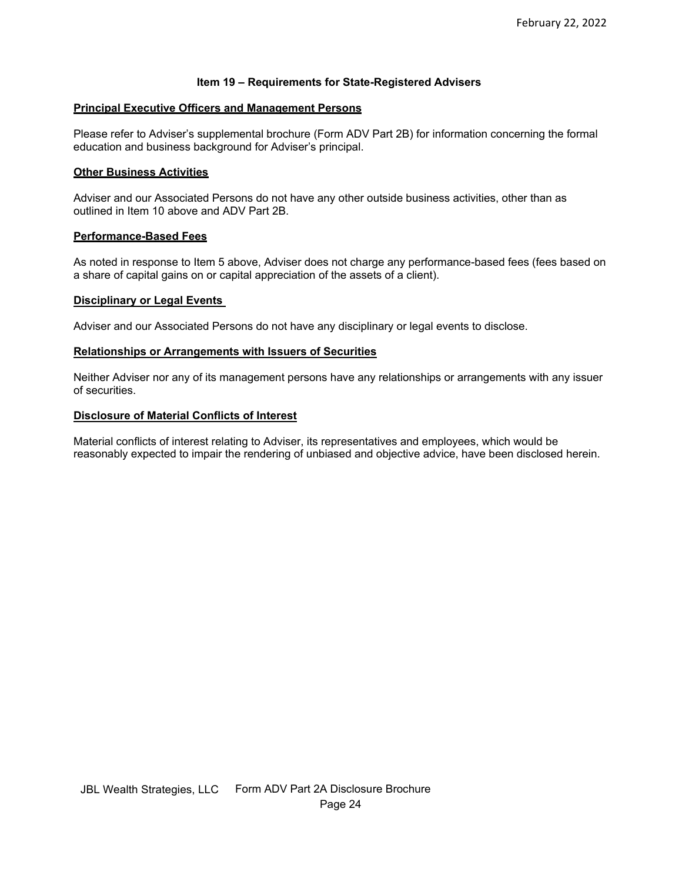# **Item 19 – Requirements for State-Registered Advisers**

## **Principal Executive Officers and Management Persons**

Please refer to Adviser's supplemental brochure (Form ADV Part 2B) for information concerning the formal education and business background for Adviser's principal.

## **Other Business Activities**

Adviser and our Associated Persons do not have any other outside business activities, other than as outlined in Item 10 above and ADV Part 2B.

#### **Performance-Based Fees**

As noted in response to Item 5 above, Adviser does not charge any performance-based fees (fees based on a share of capital gains on or capital appreciation of the assets of a client).

#### **Disciplinary or Legal Events**

Adviser and our Associated Persons do not have any disciplinary or legal events to disclose.

#### **Relationships or Arrangements with Issuers of Securities**

Neither Adviser nor any of its management persons have any relationships or arrangements with any issuer of securities.

#### **Disclosure of Material Conflicts of Interest**

Material conflicts of interest relating to Adviser, its representatives and employees, which would be reasonably expected to impair the rendering of unbiased and objective advice, have been disclosed herein.